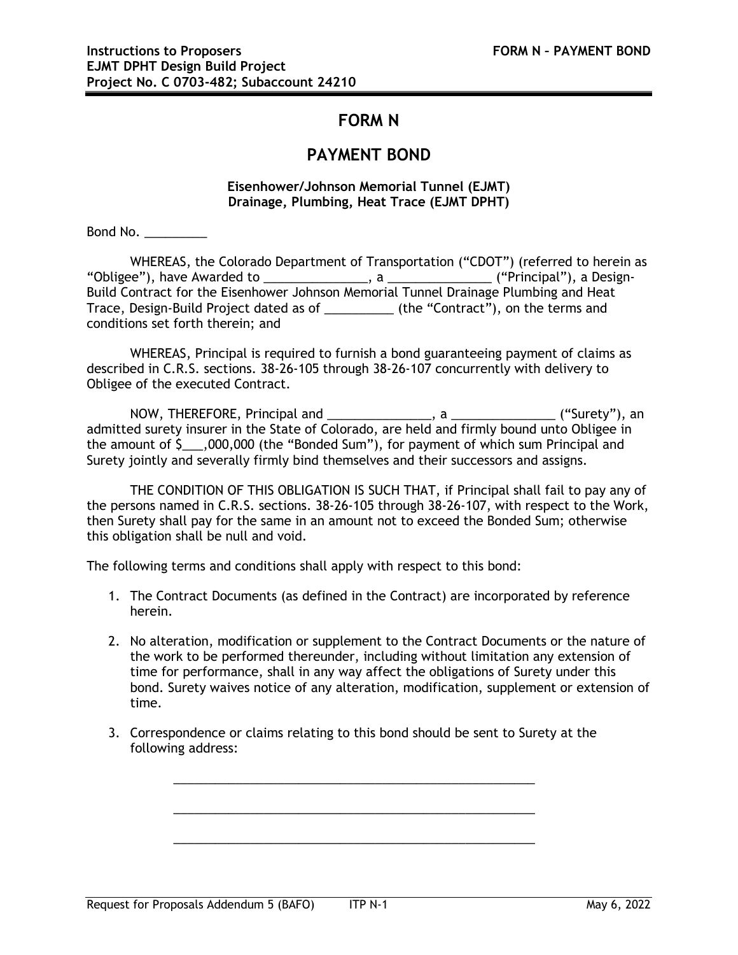## **FORM N**

## **PAYMENT BOND**

## **Eisenhower/Johnson Memorial Tunnel (EJMT) Drainage, Plumbing, Heat Trace (EJMT DPHT)**

Bond No. \_\_\_\_\_\_\_\_\_

WHEREAS, the Colorado Department of Transportation ("CDOT") (referred to herein as "Obligee"), have Awarded to \_\_\_\_\_\_\_\_\_\_\_\_\_\_\_, a \_\_\_\_\_\_\_\_\_\_\_\_\_\_\_ ("Principal"), a Design-Build Contract for the Eisenhower Johnson Memorial Tunnel Drainage Plumbing and Heat Trace, Design-Build Project dated as of \_\_\_\_\_\_\_\_\_\_ (the "Contract"), on the terms and conditions set forth therein; and

WHEREAS, Principal is required to furnish a bond guaranteeing payment of claims as described in C.R.S. sections. 38-26-105 through 38-26-107 concurrently with delivery to Obligee of the executed Contract.

NOW, THEREFORE, Principal and \_\_\_\_\_\_\_\_\_\_\_\_\_\_\_, a \_\_\_\_\_\_\_\_\_\_\_\_\_\_\_ ("Surety"), an admitted surety insurer in the State of Colorado, are held and firmly bound unto Obligee in the amount of \$\_\_\_,000,000 (the "Bonded Sum"), for payment of which sum Principal and Surety jointly and severally firmly bind themselves and their successors and assigns.

THE CONDITION OF THIS OBLIGATION IS SUCH THAT, if Principal shall fail to pay any of the persons named in C.R.S. sections. 38-26-105 through 38-26-107, with respect to the Work, then Surety shall pay for the same in an amount not to exceed the Bonded Sum; otherwise this obligation shall be null and void.

The following terms and conditions shall apply with respect to this bond:

- 1. The Contract Documents (as defined in the Contract) are incorporated by reference herein.
- 2. No alteration, modification or supplement to the Contract Documents or the nature of the work to be performed thereunder, including without limitation any extension of time for performance, shall in any way affect the obligations of Surety under this bond. Surety waives notice of any alteration, modification, supplement or extension of time.
- 3. Correspondence or claims relating to this bond should be sent to Surety at the following address:

\_\_\_\_\_\_\_\_\_\_\_\_\_\_\_\_\_\_\_\_\_\_\_\_\_\_\_\_\_\_\_\_\_\_\_\_\_\_\_\_\_\_\_\_\_\_\_\_\_\_\_\_

\_\_\_\_\_\_\_\_\_\_\_\_\_\_\_\_\_\_\_\_\_\_\_\_\_\_\_\_\_\_\_\_\_\_\_\_\_\_\_\_\_\_\_\_\_\_\_\_\_\_\_\_

\_\_\_\_\_\_\_\_\_\_\_\_\_\_\_\_\_\_\_\_\_\_\_\_\_\_\_\_\_\_\_\_\_\_\_\_\_\_\_\_\_\_\_\_\_\_\_\_\_\_\_\_